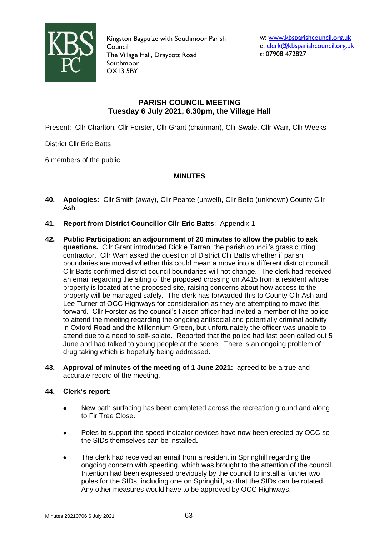

Kingston Bagpuize with Southmoor Parish Council The Village Hall, Draycott Road Southmoor OX13 5BY

w: [www.kbsparishcouncil.org.uk](http://www.kbsparishcouncil.org.uk/) e: [clerk@kbsparishcouncil.org.uk](mailto:clerk@kbsparishcouncil.org.uk) t: 07908 472827

# **PARISH COUNCIL MEETING Tuesday 6 July 2021, 6.30pm, the Village Hall**

Present: Cllr Charlton, Cllr Forster, Cllr Grant (chairman), Cllr Swale, Cllr Warr, Cllr Weeks

District Cllr Eric Batts

6 members of the public

# **MINUTES**

- **40. Apologies:** Cllr Smith (away), Cllr Pearce (unwell), Cllr Bello (unknown) County Cllr Ash
- **41. Report from District Councillor Cllr Eric Batts**: Appendix 1
- **42. Public Participation: an adjournment of 20 minutes to allow the public to ask questions.** Cllr Grant introduced Dickie Tarran, the parish council's grass cutting contractor. Cllr Warr asked the question of District Cllr Batts whether if parish boundaries are moved whether this could mean a move into a different district council. Cllr Batts confirmed district council boundaries will not change. The clerk had received an email regarding the siting of the proposed crossing on A415 from a resident whose property is located at the proposed site, raising concerns about how access to the property will be managed safely. The clerk has forwarded this to County Cllr Ash and Lee Turner of OCC Highways for consideration as they are attempting to move this forward. Cllr Forster as the council's liaison officer had invited a member of the police to attend the meeting regarding the ongoing antisocial and potentially criminal activity in Oxford Road and the Millennium Green, but unfortunately the officer was unable to attend due to a need to self-isolate. Reported that the police had last been called out 5 June and had talked to young people at the scene. There is an ongoing problem of drug taking which is hopefully being addressed.
- **43. Approval of minutes of the meeting of 1 June 2021:** agreed to be a true and accurate record of the meeting.

# **44. Clerk's report:**

- New path surfacing has been completed across the recreation ground and along to Fir Tree Close.
- Poles to support the speed indicator devices have now been erected by OCC so the SIDs themselves can be installed**.**
- The clerk had received an email from a resident in Springhill regarding the ongoing concern with speeding, which was brought to the attention of the council. Intention had been expressed previously by the council to install a further two poles for the SIDs, including one on Springhill, so that the SIDs can be rotated. Any other measures would have to be approved by OCC Highways.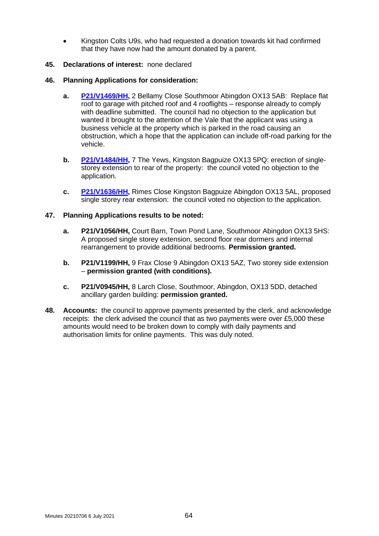• Kingston Colts U9s, who had requested a donation towards kit had confirmed that they have now had the amount donated by a parent.

### **45. Declarations of interest:** none declared

### **46. Planning Applications for consideration:**

- **a. [P21/V1469/HH,](https://data.whitehorsedc.gov.uk/java/support/Main.jsp?MODULE=ApplicationDetails&REF=P21/V1469/HH)** 2 Bellamy Close Southmoor Abingdon OX13 5AB: Replace flat roof to garage with pitched roof and 4 rooflights – response already to comply with deadline submitted. The council had no objection to the application but wanted it brought to the attention of the Vale that the applicant was using a business vehicle at the property which is parked in the road causing an obstruction, which a hope that the application can include off-road parking for the vehicle.
- **b. [P21/V1484/HH,](https://data.whitehorsedc.gov.uk/java/support/Main.jsp?MODULE=ApplicationDetails&REF=P21/V1484/HH)** 7 The Yews, Kingston Bagpuize OX13 5PQ: erection of singlestorey extension to rear of the property: the council voted no objection to the application.
- **c. [P21/V1636/HH,](https://data.whitehorsedc.gov.uk/java/support/Main.jsp?MODULE=ApplicationDetails&REF=P21/V1636/HH)** Rimes Close Kingston Bagpuize Abingdon OX13 5AL, proposed single storey rear extension: the council voted no objection to the application.

### **47. Planning Applications results to be noted:**

- **a. P21/V1056/HH,** Court Barn, Town Pond Lane, Southmoor Abingdon OX13 5HS: A proposed single storey extension, second floor rear dormers and internal rearrangement to provide additional bedrooms. **Permission granted.**
- **b. P21/V1199/HH,** 9 Frax Close 9 Abingdon OX13 5AZ, Two storey side extension – **permission granted (with conditions).**
- **c. P21/V0945/HH,** 8 Larch Close, Southmoor, Abingdon, OX13 5DD, detached ancillary garden building: **permission granted.**
- **48. Accounts:** the council to approve payments presented by the clerk, and acknowledge receipts: the clerk advised the council that as two payments were over £5,000 these amounts would need to be broken down to comply with daily payments and authorisation limits for online payments. This was duly noted.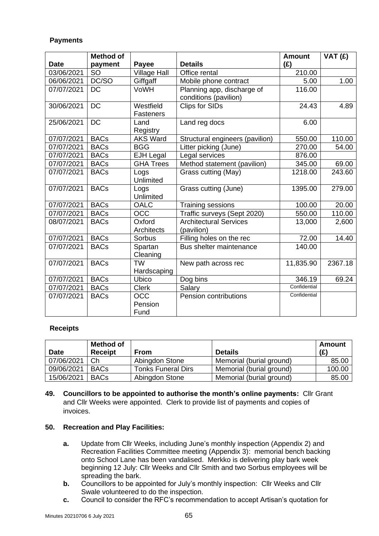# **Payments**

|             | <b>Method of</b> |                     |                                 | <b>Amount</b> | $\overline{V}AT(E)$ |
|-------------|------------------|---------------------|---------------------------------|---------------|---------------------|
| <b>Date</b> | payment          | <b>Payee</b>        | <b>Details</b>                  | (E)           |                     |
| 03/06/2021  | <b>SO</b>        | <b>Village Hall</b> | Office rental                   | 210.00        |                     |
| 06/06/2021  | DC/SO            | Giffgaff            | Mobile phone contract           | 5.00          | 1.00                |
| 07/07/2021  | <b>DC</b>        | VoWH                | Planning app, discharge of      | 116.00        |                     |
|             |                  |                     | conditions (pavilion)           |               |                     |
| 30/06/2021  | <b>DC</b>        | Westfield           | <b>Clips for SIDs</b>           | 24.43         | 4.89                |
|             |                  | <b>Fasteners</b>    |                                 |               |                     |
| 25/06/2021  | <b>DC</b>        | Land                | Land reg docs                   | 6.00          |                     |
|             |                  | Registry            |                                 |               |                     |
| 07/07/2021  | <b>BACs</b>      | <b>AKS Ward</b>     | Structural engineers (pavilion) | 550.00        | 110.00              |
| 07/07/2021  | <b>BACs</b>      | <b>BGG</b>          | Litter picking (June)           | 270.00        | 54.00               |
| 07/07/2021  | <b>BACs</b>      | <b>EJH Legal</b>    | Legal services                  | 876.00        |                     |
| 07/07/2021  | <b>BACs</b>      | <b>GHA Trees</b>    | Method statement (pavilion)     | 345.00        | 69.00               |
| 07/07/2021  | <b>BACs</b>      | Logs                | Grass cutting (May)             | 1218.00       | 243.60              |
|             |                  | Unlimited           |                                 |               |                     |
| 07/07/2021  | <b>BACs</b>      | Logs                | Grass cutting (June)            | 1395.00       | 279.00              |
|             |                  | Unlimited           |                                 |               |                     |
| 07/07/2021  | <b>BACs</b>      | <b>OALC</b>         | Training sessions               | 100.00        | 20.00               |
| 07/07/2021  | <b>BACs</b>      | OC <sub>C</sub>     | Traffic surveys (Sept 2020)     | 550.00        | 110.00              |
| 08/07/2021  | <b>BACs</b>      | Oxford              | <b>Architectural Services</b>   | 13,000        | 2,600               |
|             |                  | <b>Architects</b>   | (pavilion)                      |               |                     |
| 07/07/2021  | <b>BACs</b>      | Sorbus              | Filling holes on the rec        | 72.00         | 14.40               |
| 07/07/2021  | <b>BACs</b>      | Spartan             | Bus shelter maintenance         | 140.00        |                     |
|             |                  | Cleaning            |                                 |               |                     |
| 07/07/2021  | <b>BACs</b>      | <b>TW</b>           | New path across rec             | 11,835.90     | 2367.18             |
|             |                  | Hardscaping         |                                 |               |                     |
| 07/07/2021  | <b>BACs</b>      | Ubico               | Dog bins                        | 346.19        | 69.24               |
| 07/07/2021  | <b>BACs</b>      | <b>Clerk</b>        | Salary                          | Confidential  |                     |
| 07/07/2021  | <b>BACs</b>      | <b>OCC</b>          | Pension contributions           | Confidential  |                     |
|             |                  | Pension             |                                 |               |                     |
|             |                  | Fund                |                                 |               |                     |

# **Receipts**

| <b>Date</b> | <b>Method of</b><br><b>Receipt</b> | <b>From</b>               | <b>Details</b>           | Amount<br>(E) |
|-------------|------------------------------------|---------------------------|--------------------------|---------------|
| 07/06/2021  | Сh                                 | Abingdon Stone            | Memorial (burial ground) | 85.00         |
| 09/06/2021  | <b>BACs</b>                        | <b>Tonks Funeral Dirs</b> | Memorial (burial ground) | 100.00        |
| 15/06/2021  | <b>BACs</b>                        | Abingdon Stone            | Memorial (burial ground) | 85.00         |

**49. Councillors to be appointed to authorise the month's online payments:** Cllr Grant and Cllr Weeks were appointed. Clerk to provide list of payments and copies of invoices.

#### **50. Recreation and Play Facilities:**

- **a.** Update from Cllr Weeks, including June's monthly inspection (Appendix 2) and Recreation Facilities Committee meeting (Appendix 3): memorial bench backing onto School Lane has been vandalised. Merkko is delivering play bark week beginning 12 July: Cllr Weeks and Cllr Smith and two Sorbus employees will be spreading the bark.
- **b.** Councillors to be appointed for July's monthly inspection: Cllr Weeks and Cllr Swale volunteered to do the inspection.
- **c.** Council to consider the RFC's recommendation to accept Artisan's quotation for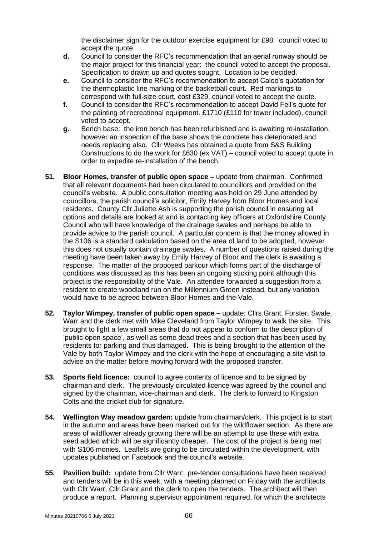the disclaimer sign for the outdoor exercise equipment for £98: council voted to accept the quote.

- **d.** Council to consider the RFC's recommendation that an aerial runway should be the major project for this financial year: the council voted to accept the proposal. Specification to drawn up and quotes sought. Location to be decided.
- **e.** Council to consider the RFC's recommendation to accept Caloo's quotation for the thermoplastic line marking of the basketball court. Red markings to correspond with full-size court, cost £329, council voted to accept the quote.
- **f.** Council to consider the RFC's recommendation to accept David Fell's quote for the painting of recreational equipment. £1710 (£110 for tower included), council voted to accept.
- **g.** Bench base: the iron bench has been refurbished and is awaiting re-installation, however an inspection of the base shows the concrete has deteriorated and needs replacing also. Cllr Weeks has obtained a quote from S&S Building Constructions to do the work for £630 (ex VAT) – council voted to accept quote in order to expedite re-installation of the bench.
- **51. Bloor Homes, transfer of public open space –** update from chairman. Confirmed that all relevant documents had been circulated to councillors and provided on the council's website. A public consultation meeting was held on 29 June attended by councillors, the parish council's solicitor, Emily Harvey from Bloor Homes and local residents. County Cllr Juliette Ash is supporting the parish council in ensuring all options and details are looked at and is contacting key officers at Oxfordshire County Council who will have knowledge of the drainage swales and perhaps be able to provide advice to the parish council. A particular concern is that the money allowed in the S106 is a standard calculation based on the area of land to be adopted, however this does not usually contain drainage swales. A number of questions raised during the meeting have been taken away by Emily Harvey of Bloor and the clerk is awaiting a response. The matter of the proposed parkour which forms part of the discharge of conditions was discussed as this has been an ongoing sticking point although this project is the responsibility of the Vale. An attendee forwarded a suggestion from a resident to create woodland run on the Millennium Green instead, but any variation would have to be agreed between Bloor Homes and the Vale.
- **52. Taylor Wimpey, transfer of public open space –** update: Cllrs Grant, Forster, Swale, Warr and the clerk met with Mike Cleveland from Taylor Wimpey to walk the site. This brought to light a few small areas that do not appear to conform to the description of 'public open space', as well as some dead trees and a section that has been used by residents for parking and thus damaged. This is being brought to the attention of the Vale by both Taylor Wimpey and the clerk with the hope of encouraging a site visit to advise on the matter before moving forward with the proposed transfer.
- **53. Sports field licence:** council to agree contents of licence and to be signed by chairman and clerk. The previously circulated licence was agreed by the council and signed by the chairman, vice-chairman and clerk. The clerk to forward to Kingston Colts and the cricket club for signature.
- **54. Wellington Way meadow garden:** update from chairman/clerk. This project is to start in the autumn and areas have been marked out for the wildflower section. As there are areas of wildflower already growing there will be an attempt to use these with extra seed added which will be significantly cheaper. The cost of the project is being met with S106 monies. Leaflets are going to be circulated within the development, with updates published on Facebook and the council's website.
- **55. Pavilion build:** update from Cllr Warr: pre-tender consultations have been received and tenders will be in this week, with a meeting planned on Friday with the architects with Cllr Warr, Cllr Grant and the clerk to open the tenders. The architect will then produce a report. Planning supervisor appointment required, for which the architects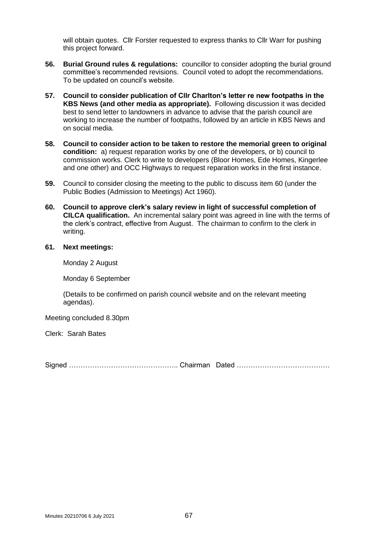will obtain quotes. Cllr Forster requested to express thanks to Cllr Warr for pushing this project forward.

- **56. Burial Ground rules & regulations:** councillor to consider adopting the burial ground committee's recommended revisions. Council voted to adopt the recommendations. To be updated on council's website.
- **57. Council to consider publication of Cllr Charlton's letter re new footpaths in the KBS News (and other media as appropriate).** Following discussion it was decided best to send letter to landowners in advance to advise that the parish council are working to increase the number of footpaths, followed by an article in KBS News and on social media.
- **58. Council to consider action to be taken to restore the memorial green to original condition:** a) request reparation works by one of the developers, or b) council to commission works. Clerk to write to developers (Bloor Homes, Ede Homes, Kingerlee and one other) and OCC Highways to request reparation works in the first instance.
- **59.** Council to consider closing the meeting to the public to discuss item 60 (under the Public Bodies (Admission to Meetings) Act 1960).
- **60. Council to approve clerk's salary review in light of successful completion of CILCA qualification.** An incremental salary point was agreed in line with the terms of the clerk's contract, effective from August. The chairman to confirm to the clerk in writing.

# **61. Next meetings:**

Monday 2 August

Monday 6 September

(Details to be confirmed on parish council website and on the relevant meeting agendas).

Meeting concluded 8.30pm

Clerk: Sarah Bates

Signed ……………………………………….. Chairman Dated ………………………………….